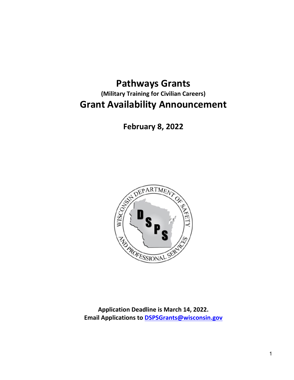# **Pathways Grants (Military Training for Civilian Careers) Grant Availability Announcement**

**February 8, 2022**



**Application Deadline is March 14, 2022. Email Applications to [DSPSGrants@wisconsin.gov](mailto:DSPSGrants@wisconsin.gov)**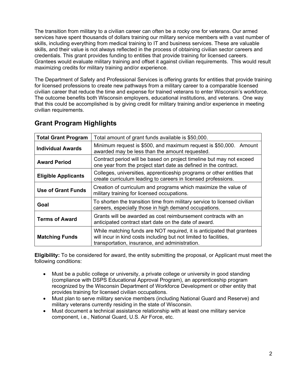The transition from military to a civilian career can often be a rocky one for veterans. Our armed services have spent thousands of dollars training our military service members with a vast number of skills, including everything from medical training to IT and business services. These are valuable skills, and their value is not always reflected in the process of obtaining civilian sector careers and credentials. This grant provides funding to entities that provide training for licensed careers. Grantees would evaluate military training and offset it against civilian requirements. This would result maximizing credits for military training and/or experience.

The Department of Safety and Professional Services is offering grants for entities that provide training for licensed professions to create new pathways from a military career to a comparable licensed civilian career that reduce the time and expense for trained veterans to enter Wisconsin's workforce. The outcome benefits both Wisconsin employers, educational institutions, and veterans. One way that this could be accomplished is by giving credit for military training and/or experience in meeting civilian requirements.

| <b>Total Grant Program</b> | Total amount of grant funds available is \$50,000.                                                                                                                                            |  |
|----------------------------|-----------------------------------------------------------------------------------------------------------------------------------------------------------------------------------------------|--|
| <b>Individual Awards</b>   | Minimum request is \$500, and maximum request is \$50,000. Amount<br>awarded may be less than the amount requested.                                                                           |  |
| <b>Award Period</b>        | Contract period will be based on project timeline but may not exceed<br>one year from the project start date as defined in the contract.                                                      |  |
| <b>Eligible Applicants</b> | Colleges, universities, apprenticeship programs or other entities that<br>create curriculum leading to careers in licensed professions.                                                       |  |
| <b>Use of Grant Funds</b>  | Creation of curriculum and programs which maximize the value of<br>military training for licensed occupations.                                                                                |  |
| Goal                       | To shorten the transition time from military service to licensed civilian<br>careers, especially those in high demand occupations.                                                            |  |
| <b>Terms of Award</b>      | Grants will be awarded as cost reimbursement contracts with an<br>anticipated contract start date on the date of award.                                                                       |  |
| <b>Matching Funds</b>      | While matching funds are NOT required, it is anticipated that grantees<br>will incur in kind costs including but not limited to facilities,<br>transportation, insurance, and administration. |  |

### **Grant Program Highlights**

**Eligibility:** To be considered for award, the entity submitting the proposal, or Applicant must meet the following conditions:

- Must be a public college or university, a private college or university in good standing (compliance with DSPS Educational Approval Program), an apprenticeship program recognized by the Wisconsin Department of Workforce Development or other entity that provides training for licensed civilian occupations.
- Must plan to serve military service members (including National Guard and Reserve) and military veterans currently residing in the state of Wisconsin.
- Must document a technical assistance relationship with at least one military service component, i.e., National Guard, U.S. Air Force, etc.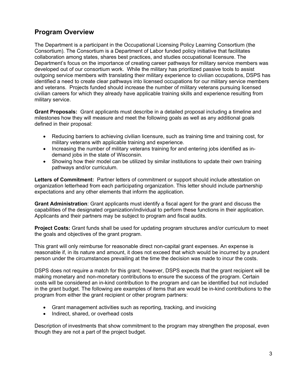#### **Program Overview**

The Department is a participant in the Occupational Licensing Policy Learning Consortium (the Consortium). The Consortium is a Department of Labor funded policy initiative that facilitates collaboration among states, shares best practices, and studies occupational licensure. The Department's focus on the importance of creating career pathways for military service members was developed out of our consortium work. While the military has prioritized passive tools to assist outgoing service members with translating their military experience to civilian occupations, DSPS has identified a need to create clear pathways into licensed occupations for our military service members and veterans. Projects funded should increase the number of military veterans pursuing licensed civilian careers for which they already have applicable training skills and experience resulting from military service.

**Grant Proposals:** Grant applicants must describe in a detailed proposal including a timeline and milestones how they will measure and meet the following goals as well as any additional goals defined in their proposal:

- Reducing barriers to achieving civilian licensure, such as training time and training cost, for military veterans with applicable training and experience.
- Increasing the number of military veterans training for and entering jobs identified as indemand jobs in the state of Wisconsin.
- Showing how their model can be utilized by similar institutions to update their own training pathways and/or curriculum.

**Letters of Commitment:** Partner letters of commitment or support should include attestation on organization letterhead from each participating organization. This letter should include partnership expectations and any other elements that inform the application.

**Grant Administration**: Grant applicants must identify a fiscal agent for the grant and discuss the capabilities of the designated organization/individual to perform these functions in their application. Applicants and their partners may be subject to program and fiscal audits.

**Project Costs:** Grant funds shall be used for updating program structures and/or curriculum to meet the goals and objectives of the grant program.

This grant will only reimburse for reasonable direct non-capital grant expenses. An expense is reasonable if, in its nature and amount, it does not exceed that which would be incurred by a prudent person under the circumstances prevailing at the time the decision was made to incur the costs.

DSPS does not require a match for this grant; however, DSPS expects that the grant recipient will be making monetary and non-monetary contributions to ensure the success of the program. Certain costs will be considered an in-kind contribution to the program and can be identified but not included in the grant budget. The following are examples of items that are would be in-kind contributions to the program from either the grant recipient or other program partners:

- Grant management activities such as reporting, tracking, and invoicing
- Indirect, shared, or overhead costs

Description of investments that show commitment to the program may strengthen the proposal, even though they are not a part of the project budget.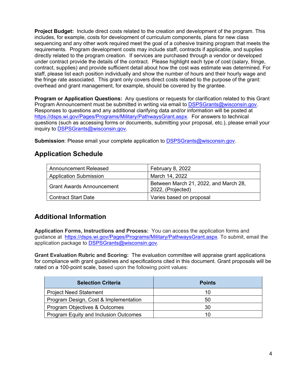**Project Budget:** Include direct costs related to the creation and development of the program. This includes, for example, costs for development of curriculum components, plans for new class sequencing and any other work required meet the goal of a cohesive training program that meets the requirements. Program development costs may include staff, contracts if applicable, and supplies directly related to the program creation. If services are purchased through a vendor or developed under contract provide the details of the contract. Please highlight each type of cost (salary, fringe, contract, supplies) and provide sufficient detail about how the cost was estimate was determined. For staff, please list each position individually and show the number of hours and their hourly wage and the fringe rate associated. This grant only covers direct costs related to the purpose of the grant: overhead and grant management, for example, should be covered by the grantee.

**Program or Application Questions:** Any questions or requests for clarification related to this Grant Program Announcement must be submitted in writing via email to [DSPSGrants@wisconsin.gov.](mailto:DSPSGrants@wisconsin.gov) Responses to questions and any additional clarifying data and/or information will be posted at [https://dsps.wi.gov/Pages/Programs/Military/PathwaysGrant.aspx.](https://dsps.wi.gov/Pages/Programs/Military/PathwaysGrant.aspx) For answers to technical questions (such as accessing forms or documents, submitting your proposal, etc.), please email your inquiry to [DSPSGrants@wisconsin.gov.](mailto:DSPSGrants@wisconsin.gov)

**Submission**: Please email your complete application to [DSPSGrants@wisconsin.gov.](mailto:DSPSGrants@wisconsin.gov)

#### **Application Schedule**

| Announcement Released         | February 8, 2022                                           |
|-------------------------------|------------------------------------------------------------|
| <b>Application Submission</b> | March 14, 2022                                             |
| l Grant Awards Announcement   | Between March 21, 2022, and March 28,<br>2022, (Projected) |
| Contract Start Date           | Varies based on proposal                                   |

## **Additional Information**

**Application Forms, Instructions and Process:** You can access the application forms and guidance at [https://dsps.wi.gov/Pages/Programs/Military/PathwaysGrant.aspx.](https://dsps.wi.gov/Pages/Programs/Military/PathwaysGrant.aspx) To submit, email the application package to [DSPSGrants@wisconsin.gov.](mailto:DSPSGrants@wisconsin.gov)

**Grant Evaluation Rubric and Scoring:** The evaluation committee will appraise grant applications for compliance with grant guidelines and specifications cited in this document. Grant proposals will be rated on a 100-point scale, based upon the following point values:

| <b>Selection Criteria</b>             | <b>Points</b> |
|---------------------------------------|---------------|
| <b>Project Need Statement</b>         | 10            |
| Program Design, Cost & Implementation | 50            |
| Program Objectives & Outcomes         | 30            |
| Program Equity and Inclusion Outcomes | 10            |